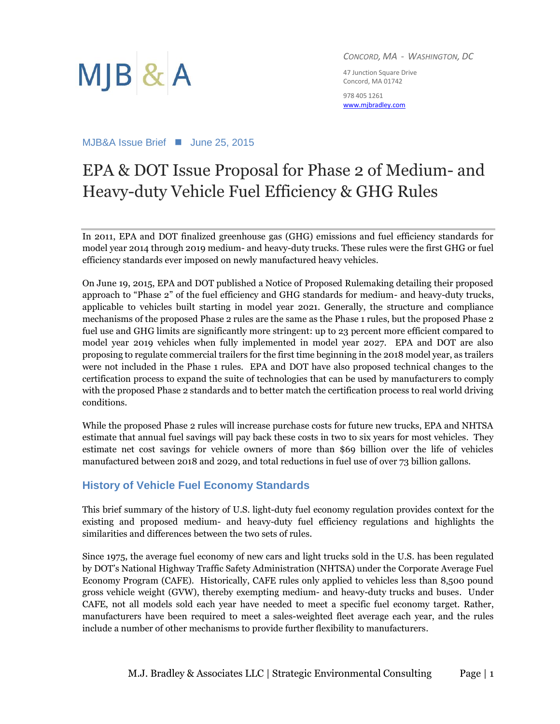

*CONCORD, MA - WASHINGTON, DC*

47 Junction Square Drive Concord, MA 01742

978 405 1261 [www.mjbradley.com](http://www.mjbradley.com/)

MJB&A Issue Brief ■ June 25, 2015

### EPA & DOT Issue Proposal for Phase 2 of Medium- and Heavy-duty Vehicle Fuel Efficiency & GHG Rules

In 2011, EPA and DOT finalized greenhouse gas (GHG) emissions and fuel efficiency standards for model year 2014 through 2019 medium- and heavy-duty trucks. These rules were the first GHG or fuel efficiency standards ever imposed on newly manufactured heavy vehicles.

On June 19, 2015, EPA and DOT published a Notice of Proposed Rulemaking detailing their proposed approach to "Phase 2" of the fuel efficiency and GHG standards for medium- and heavy-duty trucks, applicable to vehicles built starting in model year 2021. Generally, the structure and compliance mechanisms of the proposed Phase 2 rules are the same as the Phase 1 rules, but the proposed Phase 2 fuel use and GHG limits are significantly more stringent: up to 23 percent more efficient compared to model year 2019 vehicles when fully implemented in model year 2027. EPA and DOT are also proposing to regulate commercial trailers for the first time beginning in the 2018 model year, as trailers were not included in the Phase 1 rules. EPA and DOT have also proposed technical changes to the certification process to expand the suite of technologies that can be used by manufacturers to comply with the proposed Phase 2 standards and to better match the certification process to real world driving conditions.

While the proposed Phase 2 rules will increase purchase costs for future new trucks, EPA and NHTSA estimate that annual fuel savings will pay back these costs in two to six years for most vehicles. They estimate net cost savings for vehicle owners of more than \$69 billion over the life of vehicles manufactured between 2018 and 2029, and total reductions in fuel use of over 73 billion gallons.

#### **History of Vehicle Fuel Economy Standards**

This brief summary of the history of U.S. light-duty fuel economy regulation provides context for the existing and proposed medium- and heavy-duty fuel efficiency regulations and highlights the similarities and differences between the two sets of rules.

Since 1975, the average fuel economy of new cars and light trucks sold in the U.S. has been regulated by DOT's National Highway Traffic Safety Administration (NHTSA) under the Corporate Average Fuel Economy Program (CAFE). Historically, CAFE rules only applied to vehicles less than 8,500 pound gross vehicle weight (GVW), thereby exempting medium- and heavy-duty trucks and buses. Under CAFE, not all models sold each year have needed to meet a specific fuel economy target. Rather, manufacturers have been required to meet a sales-weighted fleet average each year, and the rules include a number of other mechanisms to provide further flexibility to manufacturers.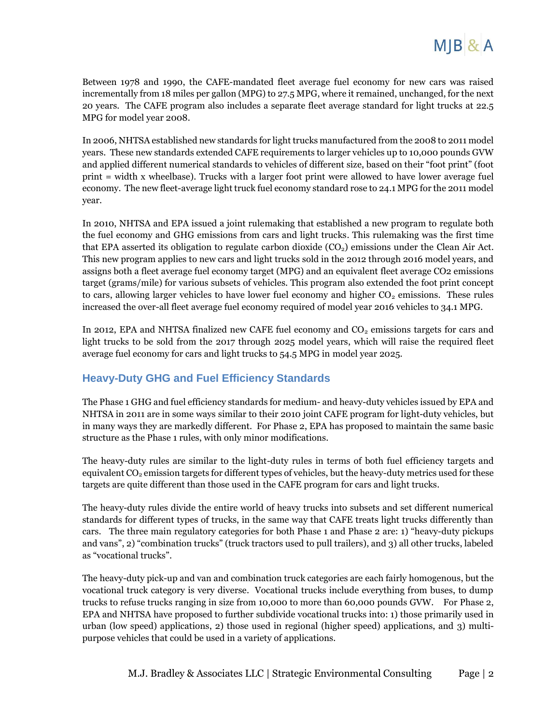Between 1978 and 1990, the CAFE-mandated fleet average fuel economy for new cars was raised incrementally from 18 miles per gallon (MPG) to 27.5 MPG, where it remained, unchanged, for the next 20 years. The CAFE program also includes a separate fleet average standard for light trucks at 22.5 MPG for model year 2008.

In 2006, NHTSA established new standards for light trucks manufactured from the 2008 to 2011 model years. These new standards extended CAFE requirements to larger vehicles up to 10,000 pounds GVW and applied different numerical standards to vehicles of different size, based on their "foot print" (foot print = width x wheelbase). Trucks with a larger foot print were allowed to have lower average fuel economy. The new fleet-average light truck fuel economy standard rose to 24.1 MPG for the 2011 model year.

In 2010, NHTSA and EPA issued a joint rulemaking that established a new program to regulate both the fuel economy and GHG emissions from cars and light trucks. This rulemaking was the first time that EPA asserted its obligation to regulate carbon dioxide  $(CO<sub>2</sub>)$  emissions under the Clean Air Act. This new program applies to new cars and light trucks sold in the 2012 through 2016 model years, and assigns both a fleet average fuel economy target (MPG) and an equivalent fleet average CO2 emissions target (grams/mile) for various subsets of vehicles. This program also extended the foot print concept to cars, allowing larger vehicles to have lower fuel economy and higher  $CO<sub>2</sub>$  emissions. These rules increased the over-all fleet average fuel economy required of model year 2016 vehicles to 34.1 MPG.

In 2012, EPA and NHTSA finalized new CAFE fuel economy and  $CO<sub>2</sub>$  emissions targets for cars and light trucks to be sold from the 2017 through 2025 model years, which will raise the required fleet average fuel economy for cars and light trucks to 54.5 MPG in model year 2025.

### **Heavy-Duty GHG and Fuel Efficiency Standards**

The Phase 1 GHG and fuel efficiency standards for medium- and heavy-duty vehicles issued by EPA and NHTSA in 2011 are in some ways similar to their 2010 joint CAFE program for light-duty vehicles, but in many ways they are markedly different. For Phase 2, EPA has proposed to maintain the same basic structure as the Phase 1 rules, with only minor modifications.

The heavy-duty rules are similar to the light-duty rules in terms of both fuel efficiency targets and equivalent  $CO<sub>2</sub>$  emission targets for different types of vehicles, but the heavy-duty metrics used for these targets are quite different than those used in the CAFE program for cars and light trucks.

The heavy-duty rules divide the entire world of heavy trucks into subsets and set different numerical standards for different types of trucks, in the same way that CAFE treats light trucks differently than cars. The three main regulatory categories for both Phase 1 and Phase 2 are: 1) "heavy-duty pickups and vans", 2) "combination trucks" (truck tractors used to pull trailers), and 3) all other trucks, labeled as "vocational trucks".

The heavy-duty pick-up and van and combination truck categories are each fairly homogenous, but the vocational truck category is very diverse. Vocational trucks include everything from buses, to dump trucks to refuse trucks ranging in size from 10,000 to more than 60,000 pounds GVW. For Phase 2, EPA and NHTSA have proposed to further subdivide vocational trucks into: 1) those primarily used in urban (low speed) applications, 2) those used in regional (higher speed) applications, and 3) multipurpose vehicles that could be used in a variety of applications.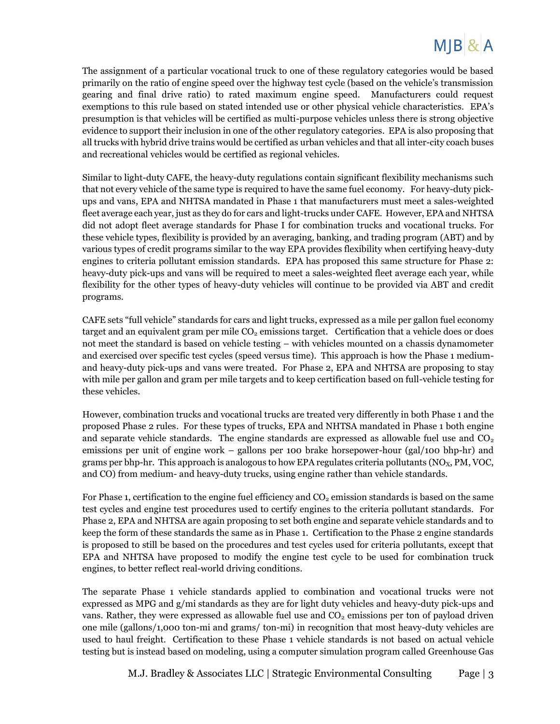The assignment of a particular vocational truck to one of these regulatory categories would be based primarily on the ratio of engine speed over the highway test cycle (based on the vehicle's transmission gearing and final drive ratio) to rated maximum engine speed. Manufacturers could request exemptions to this rule based on stated intended use or other physical vehicle characteristics. EPA's presumption is that vehicles will be certified as multi-purpose vehicles unless there is strong objective evidence to support their inclusion in one of the other regulatory categories. EPA is also proposing that all trucks with hybrid drive trains would be certified as urban vehicles and that all inter-city coach buses and recreational vehicles would be certified as regional vehicles.

Similar to light-duty CAFE, the heavy-duty regulations contain significant flexibility mechanisms such that not every vehicle of the same type is required to have the same fuel economy. For heavy-duty pickups and vans, EPA and NHTSA mandated in Phase 1 that manufacturers must meet a sales-weighted fleet average each year, just as they do for cars and light-trucks under CAFE. However, EPA and NHTSA did not adopt fleet average standards for Phase I for combination trucks and vocational trucks. For these vehicle types, flexibility is provided by an averaging, banking, and trading program (ABT) and by various types of credit programs similar to the way EPA provides flexibility when certifying heavy-duty engines to criteria pollutant emission standards. EPA has proposed this same structure for Phase 2: heavy-duty pick-ups and vans will be required to meet a sales-weighted fleet average each year, while flexibility for the other types of heavy-duty vehicles will continue to be provided via ABT and credit programs.

CAFE sets "full vehicle" standards for cars and light trucks, expressed as a mile per gallon fuel economy target and an equivalent gram per mile  $CO<sub>2</sub>$  emissions target. Certification that a vehicle does or does not meet the standard is based on vehicle testing – with vehicles mounted on a chassis dynamometer and exercised over specific test cycles (speed versus time). This approach is how the Phase 1 mediumand heavy-duty pick-ups and vans were treated. For Phase 2, EPA and NHTSA are proposing to stay with mile per gallon and gram per mile targets and to keep certification based on full-vehicle testing for these vehicles.

However, combination trucks and vocational trucks are treated very differently in both Phase 1 and the proposed Phase 2 rules. For these types of trucks, EPA and NHTSA mandated in Phase 1 both engine and separate vehicle standards. The engine standards are expressed as allowable fuel use and  $CO<sub>2</sub>$ emissions per unit of engine work – gallons per 100 brake horsepower-hour (gal/100 bhp-hr) and grams per bhp-hr. This approach is analogous to how EPA regulates criteria pollutants ( $NO<sub>X</sub>$ , PM, VOC, and CO) from medium- and heavy-duty trucks, using engine rather than vehicle standards.

For Phase 1, certification to the engine fuel efficiency and  $CO<sub>2</sub>$  emission standards is based on the same test cycles and engine test procedures used to certify engines to the criteria pollutant standards. For Phase 2, EPA and NHTSA are again proposing to set both engine and separate vehicle standards and to keep the form of these standards the same as in Phase 1. Certification to the Phase 2 engine standards is proposed to still be based on the procedures and test cycles used for criteria pollutants, except that EPA and NHTSA have proposed to modify the engine test cycle to be used for combination truck engines, to better reflect real-world driving conditions.

The separate Phase 1 vehicle standards applied to combination and vocational trucks were not expressed as MPG and g/mi standards as they are for light duty vehicles and heavy-duty pick-ups and vans. Rather, they were expressed as allowable fuel use and  $CO<sub>2</sub>$  emissions per ton of payload driven one mile (gallons/1,000 ton-mi and grams/ ton-mi) in recognition that most heavy-duty vehicles are used to haul freight. Certification to these Phase 1 vehicle standards is not based on actual vehicle testing but is instead based on modeling, using a computer simulation program called Greenhouse Gas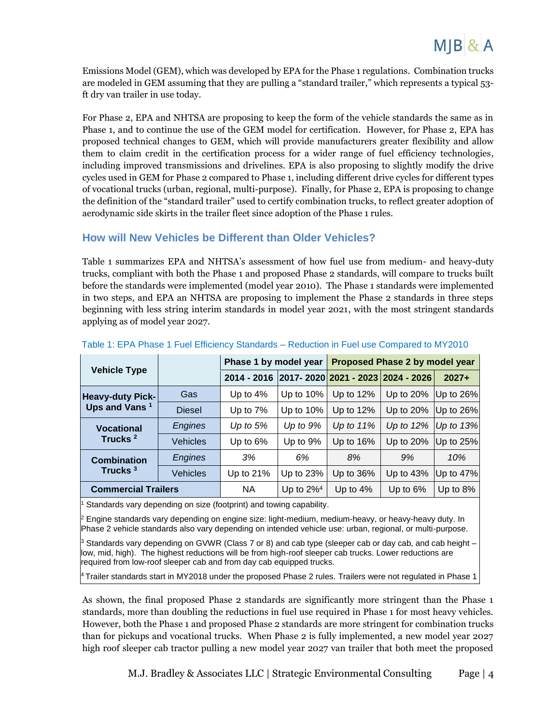

Emissions Model (GEM), which was developed by EPA for the Phase 1 regulations. Combination trucks are modeled in GEM assuming that they are pulling a "standard trailer," which represents a typical 53 ft dry van trailer in use today.

For Phase 2, EPA and NHTSA are proposing to keep the form of the vehicle standards the same as in Phase 1, and to continue the use of the GEM model for certification. However, for Phase 2, EPA has proposed technical changes to GEM, which will provide manufacturers greater flexibility and allow them to claim credit in the certification process for a wider range of fuel efficiency technologies, including improved transmissions and drivelines. EPA is also proposing to slightly modify the drive cycles used in GEM for Phase 2 compared to Phase 1, including different drive cycles for different types of vocational trucks (urban, regional, multi-purpose). Finally, for Phase 2, EPA is proposing to change the definition of the "standard trailer" used to certify combination trucks, to reflect greater adoption of aerodynamic side skirts in the trailer fleet since adoption of the Phase 1 rules.

#### **How will New Vehicles be Different than Older Vehicles?**

Table 1 summarizes EPA and NHTSA's assessment of how fuel use from medium- and heavy-duty trucks, compliant with both the Phase 1 and proposed Phase 2 standards, will compare to trucks built before the standards were implemented (model year 2010). The Phase 1 standards were implemented in two steps, and EPA an NHTSA are proposing to implement the Phase 2 standards in three steps beginning with less string interim standards in model year 2021, with the most stringent standards applying as of model year 2027.

| <b>Vehicle Type</b>                                  |                 | Phase 1 by model year |                          | Proposed Phase 2 by model year    |                             |                |
|------------------------------------------------------|-----------------|-----------------------|--------------------------|-----------------------------------|-----------------------------|----------------|
|                                                      |                 | 2014 - 2016           |                          | 2017-2020 2021 - 2023 2024 - 2026 |                             | $2027+$        |
| <b>Heavy-duty Pick-</b><br>Ups and Vans <sup>1</sup> | Gas             | Up to $4\%$           | Up to $10\%$             | Up to $12%$                       | Up to $20\%$                | $ Up to 26\% $ |
|                                                      | <b>Diesel</b>   | Up to $7\%$           | Up to $10\%$             | Up to $12%$                       | Up to $20\%$                | $ Up to 26\% $ |
| <b>Vocational</b><br>Trucks <sup>2</sup>             | Engines         | Up to $5%$            | Up to $9%$               | Up to $11\%$                      | Up to $12\%$   Up to $13\%$ |                |
|                                                      | <b>Vehicles</b> | Up to $6\%$           | Up to 9%                 | Up to $16\%$                      | Up to $20\%$                | Up to $25\%$   |
| <b>Combination</b><br>Trucks <sup>3</sup>            | Engines         | 3%                    | 6%                       | 8%                                | 9%                          | 10%            |
|                                                      | <b>Vehicles</b> | Up to 21%             | Up to 23%                | Up to $36\%$                      | Up to $43\%$                | Up to $47%$    |
| <b>Commercial Trailers</b>                           |                 | <b>NA</b>             | Up to $2\%$ <sup>4</sup> | Up to $4\%$                       | Up to $6\%$                 | Up to $8\%$    |

#### Table 1: EPA Phase 1 Fuel Efficiency Standards – Reduction in Fuel use Compared to MY2010

Standards vary depending on size (footprint) and towing capability.

<sup>2</sup> Engine standards vary depending on engine size: light-medium, medium-heavy, or heavy-heavy duty. In Phase 2 vehicle standards also vary depending on intended vehicle use: urban, regional, or multi-purpose.

 $3$  Standards vary depending on GVWR (Class 7 or 8) and cab type (sleeper cab or day cab, and cab height – low, mid, high). The highest reductions will be from high-roof sleeper cab trucks. Lower reductions are required from low-roof sleeper cab and from day cab equipped trucks.

<sup>4</sup> Trailer standards start in MY2018 under the proposed Phase 2 rules. Trailers were not regulated in Phase 1

As shown, the final proposed Phase 2 standards are significantly more stringent than the Phase 1 standards, more than doubling the reductions in fuel use required in Phase 1 for most heavy vehicles. However, both the Phase 1 and proposed Phase 2 standards are more stringent for combination trucks than for pickups and vocational trucks. When Phase 2 is fully implemented, a new model year 2027 high roof sleeper cab tractor pulling a new model year 2027 van trailer that both meet the proposed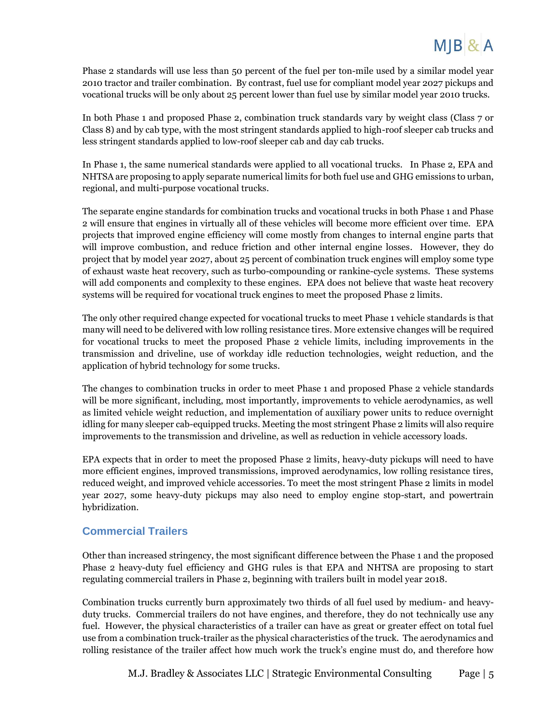Phase 2 standards will use less than 50 percent of the fuel per ton-mile used by a similar model year 2010 tractor and trailer combination. By contrast, fuel use for compliant model year 2027 pickups and vocational trucks will be only about 25 percent lower than fuel use by similar model year 2010 trucks.

In both Phase 1 and proposed Phase 2, combination truck standards vary by weight class (Class 7 or Class 8) and by cab type, with the most stringent standards applied to high-roof sleeper cab trucks and less stringent standards applied to low-roof sleeper cab and day cab trucks.

In Phase 1, the same numerical standards were applied to all vocational trucks. In Phase 2, EPA and NHTSA are proposing to apply separate numerical limits for both fuel use and GHG emissions to urban, regional, and multi-purpose vocational trucks.

The separate engine standards for combination trucks and vocational trucks in both Phase 1 and Phase 2 will ensure that engines in virtually all of these vehicles will become more efficient over time. EPA projects that improved engine efficiency will come mostly from changes to internal engine parts that will improve combustion, and reduce friction and other internal engine losses. However, they do project that by model year 2027, about 25 percent of combination truck engines will employ some type of exhaust waste heat recovery, such as turbo-compounding or rankine-cycle systems. These systems will add components and complexity to these engines. EPA does not believe that waste heat recovery systems will be required for vocational truck engines to meet the proposed Phase 2 limits.

The only other required change expected for vocational trucks to meet Phase 1 vehicle standards is that many will need to be delivered with low rolling resistance tires. More extensive changes will be required for vocational trucks to meet the proposed Phase 2 vehicle limits, including improvements in the transmission and driveline, use of workday idle reduction technologies, weight reduction, and the application of hybrid technology for some trucks.

The changes to combination trucks in order to meet Phase 1 and proposed Phase 2 vehicle standards will be more significant, including, most importantly, improvements to vehicle aerodynamics, as well as limited vehicle weight reduction, and implementation of auxiliary power units to reduce overnight idling for many sleeper cab-equipped trucks. Meeting the most stringent Phase 2 limits will also require improvements to the transmission and driveline, as well as reduction in vehicle accessory loads.

EPA expects that in order to meet the proposed Phase 2 limits, heavy-duty pickups will need to have more efficient engines, improved transmissions, improved aerodynamics, low rolling resistance tires, reduced weight, and improved vehicle accessories. To meet the most stringent Phase 2 limits in model year 2027, some heavy-duty pickups may also need to employ engine stop-start, and powertrain hybridization.

#### **Commercial Trailers**

Other than increased stringency, the most significant difference between the Phase 1 and the proposed Phase 2 heavy-duty fuel efficiency and GHG rules is that EPA and NHTSA are proposing to start regulating commercial trailers in Phase 2, beginning with trailers built in model year 2018.

Combination trucks currently burn approximately two thirds of all fuel used by medium- and heavyduty trucks. Commercial trailers do not have engines, and therefore, they do not technically use any fuel. However, the physical characteristics of a trailer can have as great or greater effect on total fuel use from a combination truck-trailer as the physical characteristics of the truck. The aerodynamics and rolling resistance of the trailer affect how much work the truck's engine must do, and therefore how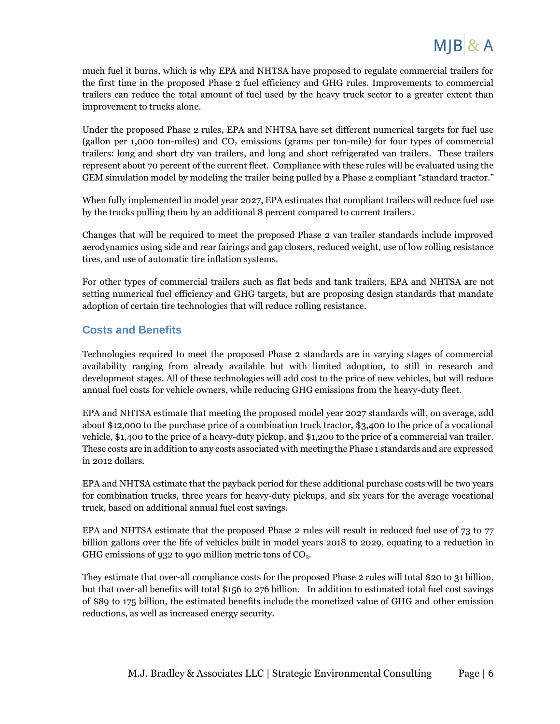much fuel it burns, which is why EPA and NHTSA have proposed to regulate commercial trailers for the first time in the proposed Phase 2 fuel efficiency and GHG rules. Improvements to commercial trailers can reduce the total amount of fuel used by the heavy truck sector to a greater extent than improvement to trucks alone.

Under the proposed Phase 2 rules, EPA and NHTSA have set different numerical targets for fuel use (gallon per 1,000 ton-miles) and  $CO<sub>2</sub>$  emissions (grams per ton-mile) for four types of commercial trailers: long and short dry van trailers, and long and short refrigerated van trailers. These trailers represent about 70 percent of the current fleet. Compliance with these rules will be evaluated using the GEM simulation model by modeling the trailer being pulled by a Phase 2 compliant "standard tractor."

When fully implemented in model year 2027, EPA estimates that compliant trailers will reduce fuel use by the trucks pulling them by an additional 8 percent compared to current trailers.

Changes that will be required to meet the proposed Phase 2 van trailer standards include improved aerodynamics using side and rear fairings and gap closers, reduced weight, use of low rolling resistance tires, and use of automatic tire inflation systems.

For other types of commercial trailers such as flat beds and tank trailers, EPA and NHTSA are not setting numerical fuel efficiency and GHG targets, but are proposing design standards that mandate adoption of certain tire technologies that will reduce rolling resistance.

#### **Costs and Benefits**

Technologies required to meet the proposed Phase 2 standards are in varying stages of commercial availability ranging from already available but with limited adoption, to still in research and development stages. All of these technologies will add cost to the price of new vehicles, but will reduce annual fuel costs for vehicle owners, while reducing GHG emissions from the heavy-duty fleet.

EPA and NHTSA estimate that meeting the proposed model year 2027 standards will, on average, add about \$12,000 to the purchase price of a combination truck tractor, \$3,400 to the price of a vocational vehicle, \$1,400 to the price of a heavy-duty pickup, and \$1,200 to the price of a commercial van trailer. These costs are in addition to any costs associated with meeting the Phase 1 standards and are expressed in 2012 dollars.

EPA and NHTSA estimate that the payback period for these additional purchase costs will be two years for combination trucks, three years for heavy-duty pickups, and six years for the average vocational truck, based on additional annual fuel cost savings.

EPA and NHTSA estimate that the proposed Phase 2 rules will result in reduced fuel use of 73 to 77 billion gallons over the life of vehicles built in model years 2018 to 2029, equating to a reduction in GHG emissions of 932 to 990 million metric tons of  $CO<sub>2</sub>$ .

They estimate that over-all compliance costs for the proposed Phase 2 rules will total \$20 to 31 billion, but that over-all benefits will total \$156 to 276 billion. In addition to estimated total fuel cost savings of \$89 to 175 billion, the estimated benefits include the monetized value of GHG and other emission reductions, as well as increased energy security.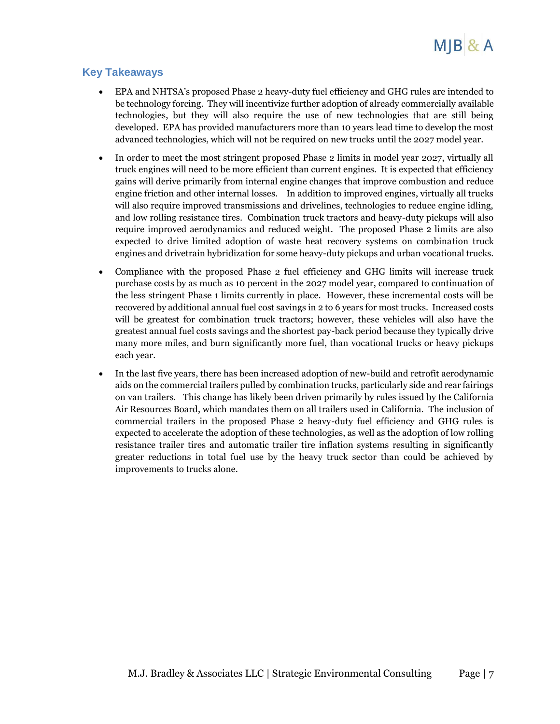

#### **Key Takeaways**

- EPA and NHTSA's proposed Phase 2 heavy-duty fuel efficiency and GHG rules are intended to be technology forcing. They will incentivize further adoption of already commercially available technologies, but they will also require the use of new technologies that are still being developed. EPA has provided manufacturers more than 10 years lead time to develop the most advanced technologies, which will not be required on new trucks until the 2027 model year.
- In order to meet the most stringent proposed Phase 2 limits in model year 2027, virtually all truck engines will need to be more efficient than current engines. It is expected that efficiency gains will derive primarily from internal engine changes that improve combustion and reduce engine friction and other internal losses. In addition to improved engines, virtually all trucks will also require improved transmissions and drivelines, technologies to reduce engine idling, and low rolling resistance tires. Combination truck tractors and heavy-duty pickups will also require improved aerodynamics and reduced weight. The proposed Phase 2 limits are also expected to drive limited adoption of waste heat recovery systems on combination truck engines and drivetrain hybridization for some heavy-duty pickups and urban vocational trucks.
- Compliance with the proposed Phase 2 fuel efficiency and GHG limits will increase truck purchase costs by as much as 10 percent in the 2027 model year, compared to continuation of the less stringent Phase 1 limits currently in place. However, these incremental costs will be recovered by additional annual fuel cost savings in 2 to 6 years for most trucks. Increased costs will be greatest for combination truck tractors; however, these vehicles will also have the greatest annual fuel costs savings and the shortest pay-back period because they typically drive many more miles, and burn significantly more fuel, than vocational trucks or heavy pickups each year.
- In the last five years, there has been increased adoption of new-build and retrofit aerodynamic aids on the commercial trailers pulled by combination trucks, particularly side and rear fairings on van trailers. This change has likely been driven primarily by rules issued by the California Air Resources Board, which mandates them on all trailers used in California. The inclusion of commercial trailers in the proposed Phase 2 heavy-duty fuel efficiency and GHG rules is expected to accelerate the adoption of these technologies, as well as the adoption of low rolling resistance trailer tires and automatic trailer tire inflation systems resulting in significantly greater reductions in total fuel use by the heavy truck sector than could be achieved by improvements to trucks alone.